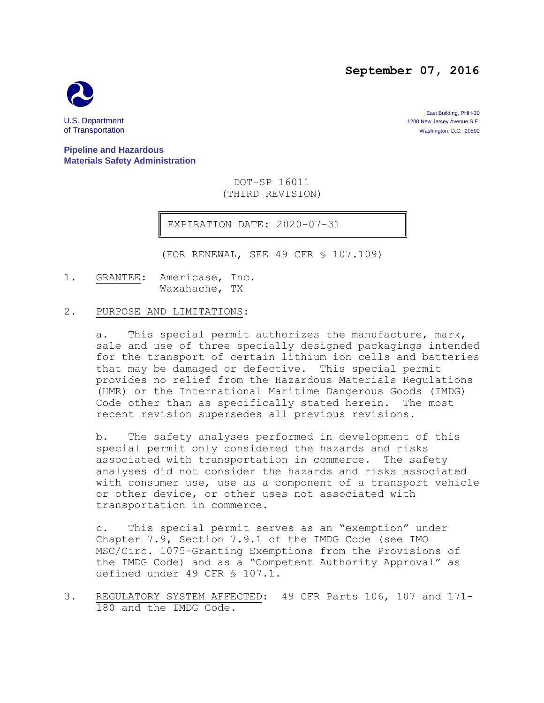### **September 07, 2016**



East Building, PHH-30 U.S. Department 1200 New Jersey Avenue S.E.<br>
1200 New Jersey Avenue S.E.<br>
1200 New Jersey Avenue S.E. 20590 Washington, D.C. 20590

**Pipeline and Hazardous Materials Safety Administration**

> DOT-SP 16011 (THIRD REVISION)

EXPIRATION DATE: 2020-07-31

(FOR RENEWAL, SEE 49 CFR § 107.109)

1. GRANTEE: Americase, Inc. Waxahache, TX

#### 2. PURPOSE AND LIMITATIONS:

a. This special permit authorizes the manufacture, mark, sale and use of three specially designed packagings intended for the transport of certain lithium ion cells and batteries that may be damaged or defective. This special permit provides no relief from the Hazardous Materials Regulations (HMR) or the International Maritime Dangerous Goods (IMDG) Code other than as specifically stated herein. The most recent revision supersedes all previous revisions.

b. The safety analyses performed in development of this special permit only considered the hazards and risks associated with transportation in commerce. The safety analyses did not consider the hazards and risks associated with consumer use, use as a component of a transport vehicle or other device, or other uses not associated with transportation in commerce.

c. This special permit serves as an "exemption" under Chapter 7.9, Section 7.9.1 of the IMDG Code (see IMO MSC/Circ. 1075-Granting Exemptions from the Provisions of the IMDG Code) and as a "Competent Authority Approval" as defined under 49 CFR § 107.1.

3. REGULATORY SYSTEM AFFECTED: 49 CFR Parts 106, 107 and 171- 180 and the IMDG Code.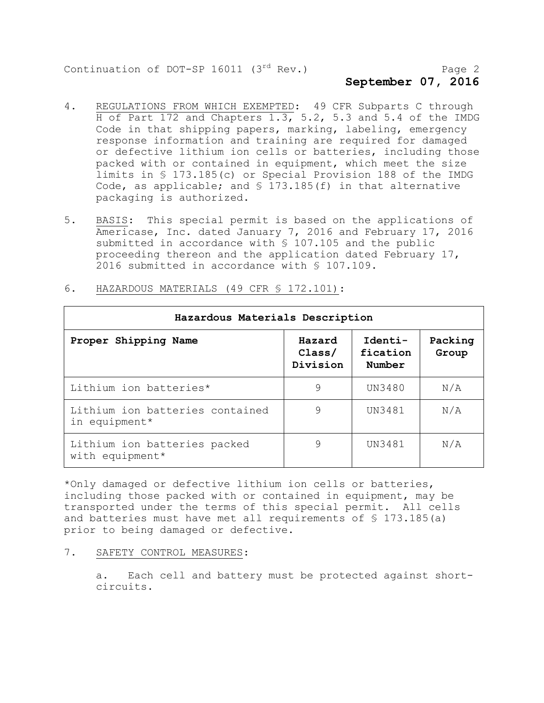# **September 07, 2016**

- 4. REGULATIONS FROM WHICH EXEMPTED: 49 CFR Subparts C through H of Part 172 and Chapters 1.3, 5.2, 5.3 and 5.4 of the IMDG Code in that shipping papers, marking, labeling, emergency response information and training are required for damaged or defective lithium ion cells or batteries, including those packed with or contained in equipment, which meet the size limits in § 173.185(c) or Special Provision 188 of the IMDG Code, as applicable; and § 173.185(f) in that alternative packaging is authorized.
- 5. BASIS: This special permit is based on the applications of Americase, Inc. dated January 7, 2016 and February 17, 2016 submitted in accordance with § 107.105 and the public proceeding thereon and the application dated February 17, 2016 submitted in accordance with § 107.109.

| Hazardous Materials Description                  |                              |                               |                  |
|--------------------------------------------------|------------------------------|-------------------------------|------------------|
| Proper Shipping Name                             | Hazard<br>Class/<br>Division | Identi-<br>fication<br>Number | Packing<br>Group |
| Lithium ion batteries*                           | 9                            | UN3480                        | N/A              |
| Lithium ion batteries contained<br>in equipment* | 9                            | UN3481                        | N/A              |
| Lithium ion batteries packed<br>with equipment*  | 9                            | UN3481                        | N/A              |

6. HAZARDOUS MATERIALS (49 CFR § 172.101):

\*Only damaged or defective lithium ion cells or batteries, including those packed with or contained in equipment, may be transported under the terms of this special permit. All cells and batteries must have met all requirements of § 173.185(a) prior to being damaged or defective.

#### 7. SAFETY CONTROL MEASURES:

a. Each cell and battery must be protected against shortcircuits.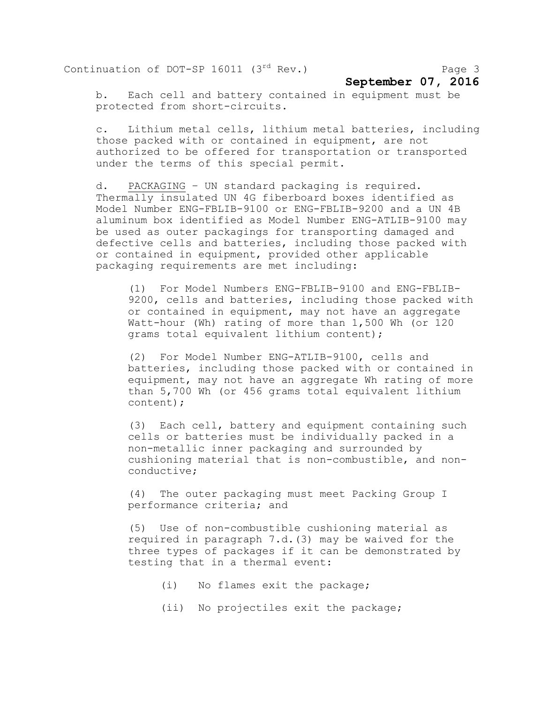## **September 07, 2016**

b. Each cell and battery contained in equipment must be protected from short-circuits.

c. Lithium metal cells, lithium metal batteries, including those packed with or contained in equipment, are not authorized to be offered for transportation or transported under the terms of this special permit.

d. PACKAGING – UN standard packaging is required. Thermally insulated UN 4G fiberboard boxes identified as Model Number ENG-FBLIB-9100 or ENG-FBLIB-9200 and a UN 4B aluminum box identified as Model Number ENG-ATLIB-9100 may be used as outer packagings for transporting damaged and defective cells and batteries, including those packed with or contained in equipment, provided other applicable packaging requirements are met including:

(1) For Model Numbers ENG-FBLIB-9100 and ENG-FBLIB-9200, cells and batteries, including those packed with or contained in equipment, may not have an aggregate Watt-hour (Wh) rating of more than 1,500 Wh (or 120 grams total equivalent lithium content);

(2) For Model Number ENG-ATLIB-9100, cells and batteries, including those packed with or contained in equipment, may not have an aggregate Wh rating of more than 5,700 Wh (or 456 grams total equivalent lithium content);

(3) Each cell, battery and equipment containing such cells or batteries must be individually packed in a non-metallic inner packaging and surrounded by cushioning material that is non-combustible, and nonconductive;

(4) The outer packaging must meet Packing Group I performance criteria; and

(5) Use of non-combustible cushioning material as required in paragraph 7.d.(3) may be waived for the three types of packages if it can be demonstrated by testing that in a thermal event:

- (i) No flames exit the package;
- (ii) No projectiles exit the package;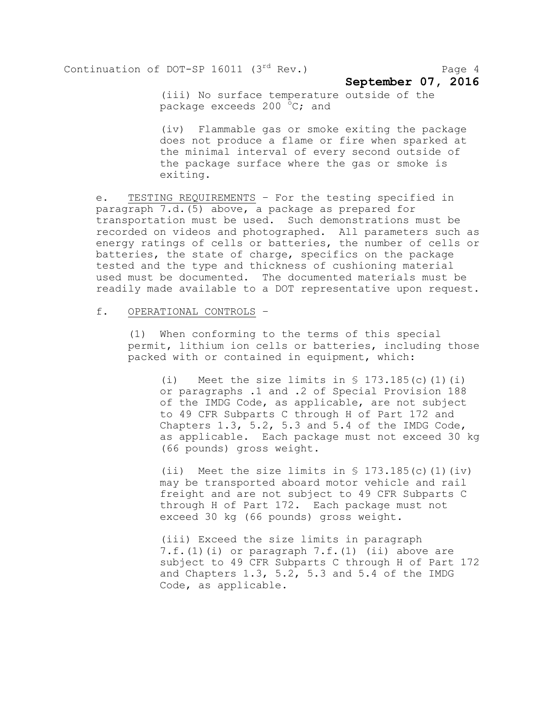**September 07, 2016**

(iii) No surface temperature outside of the package exceeds 200  $^{\circ}$ C; and

(iv) Flammable gas or smoke exiting the package does not produce a flame or fire when sparked at the minimal interval of every second outside of the package surface where the gas or smoke is exiting.

e. TESTING REQUIREMENTS – For the testing specified in paragraph 7.d.(5) above, a package as prepared for transportation must be used. Such demonstrations must be recorded on videos and photographed. All parameters such as energy ratings of cells or batteries, the number of cells or batteries, the state of charge, specifics on the package tested and the type and thickness of cushioning material used must be documented. The documented materials must be readily made available to a DOT representative upon request.

#### f. OPERATIONAL CONTROLS –

(1) When conforming to the terms of this special permit, lithium ion cells or batteries, including those packed with or contained in equipment, which:

(i) Meet the size limits in  $\S$  173.185(c)(1)(i) or paragraphs .1 and .2 of Special Provision 188 of the IMDG Code, as applicable, are not subject to 49 CFR Subparts C through H of Part 172 and Chapters 1.3, 5.2, 5.3 and 5.4 of the IMDG Code, as applicable. Each package must not exceed 30 kg (66 pounds) gross weight.

(ii) Meet the size limits in  $$ 173.185(c) (1)(iv)$ may be transported aboard motor vehicle and rail freight and are not subject to 49 CFR Subparts C through H of Part 172. Each package must not exceed 30 kg (66 pounds) gross weight.

(iii) Exceed the size limits in paragraph 7.f.(1)(i) or paragraph 7.f.(1) (ii) above are subject to 49 CFR Subparts C through H of Part 172 and Chapters 1.3, 5.2, 5.3 and 5.4 of the IMDG Code, as applicable.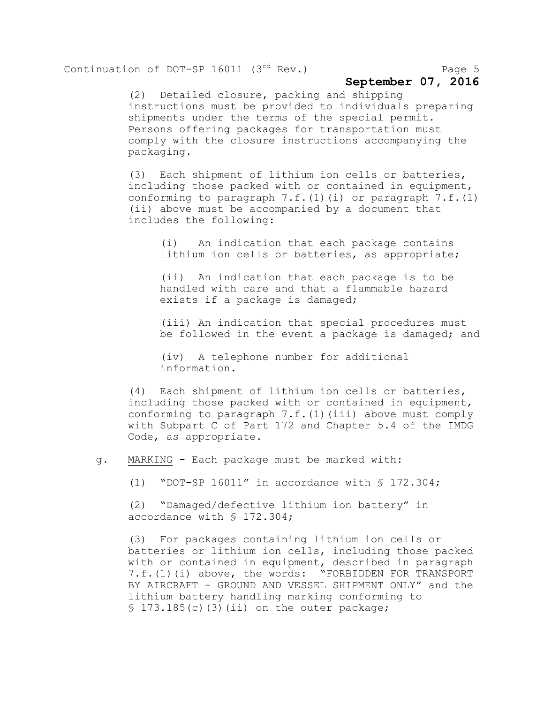### **September 07, 2016**

(2) Detailed closure, packing and shipping instructions must be provided to individuals preparing shipments under the terms of the special permit. Persons offering packages for transportation must comply with the closure instructions accompanying the packaging.

(3) Each shipment of lithium ion cells or batteries, including those packed with or contained in equipment, conforming to paragraph  $7.f.(1)(i)$  or paragraph  $7.f.(1)$ (ii) above must be accompanied by a document that includes the following:

(i) An indication that each package contains lithium ion cells or batteries, as appropriate;

(ii) An indication that each package is to be handled with care and that a flammable hazard exists if a package is damaged;

(iii) An indication that special procedures must be followed in the event a package is damaged; and

(iv) A telephone number for additional information.

(4) Each shipment of lithium ion cells or batteries, including those packed with or contained in equipment, conforming to paragraph  $7.f.(1)(iii)$  above must comply with Subpart C of Part 172 and Chapter 5.4 of the IMDG Code, as appropriate.

g. MARKING - Each package must be marked with:

(1) "DOT-SP 16011" in accordance with § 172.304;

(2) "Damaged/defective lithium ion battery" in accordance with § 172.304;

(3) For packages containing lithium ion cells or batteries or lithium ion cells, including those packed with or contained in equipment, described in paragraph 7.f.(1)(i) above, the words: "FORBIDDEN FOR TRANSPORT BY AIRCRAFT - GROUND AND VESSEL SHIPMENT ONLY" and the lithium battery handling marking conforming to  $$173.185(c)$  (3)(ii) on the outer package;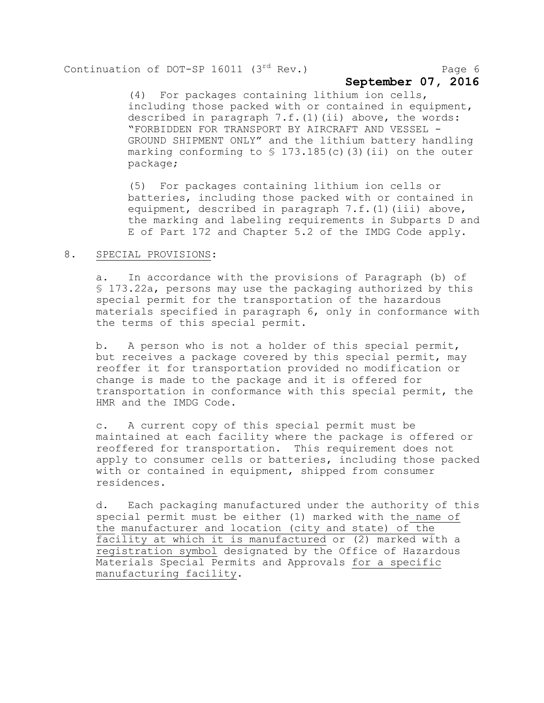## **September 07, 2016**

(4) For packages containing lithium ion cells, including those packed with or contained in equipment, described in paragraph  $7.f.(1)(ii)$  above, the words: "FORBIDDEN FOR TRANSPORT BY AIRCRAFT AND VESSEL - GROUND SHIPMENT ONLY" and the lithium battery handling marking conforming to  $\S$  173.185(c)(3)(ii) on the outer package;

(5) For packages containing lithium ion cells or batteries, including those packed with or contained in equipment, described in paragraph 7.f.(1)(iii) above, the marking and labeling requirements in Subparts D and E of Part 172 and Chapter 5.2 of the IMDG Code apply.

#### 8. SPECIAL PROVISIONS:

a. In accordance with the provisions of Paragraph (b) of § 173.22a, persons may use the packaging authorized by this special permit for the transportation of the hazardous materials specified in paragraph 6, only in conformance with the terms of this special permit.

b. A person who is not a holder of this special permit, but receives a package covered by this special permit, may reoffer it for transportation provided no modification or change is made to the package and it is offered for transportation in conformance with this special permit, the HMR and the IMDG Code.

c. A current copy of this special permit must be maintained at each facility where the package is offered or reoffered for transportation. This requirement does not apply to consumer cells or batteries, including those packed with or contained in equipment, shipped from consumer residences.

d. Each packaging manufactured under the authority of this special permit must be either (1) marked with the name of the manufacturer and location (city and state) of the facility at which it is manufactured or (2) marked with a registration symbol designated by the Office of Hazardous Materials Special Permits and Approvals for a specific manufacturing facility.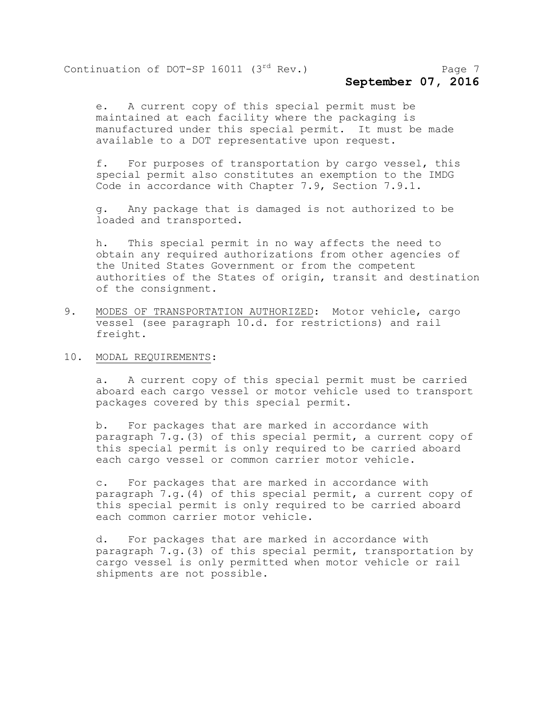# **September 07, 2016**

e. A current copy of this special permit must be maintained at each facility where the packaging is manufactured under this special permit. It must be made available to a DOT representative upon request.

f. For purposes of transportation by cargo vessel, this special permit also constitutes an exemption to the IMDG Code in accordance with Chapter 7.9, Section 7.9.1.

g. Any package that is damaged is not authorized to be loaded and transported.

h. This special permit in no way affects the need to obtain any required authorizations from other agencies of the United States Government or from the competent authorities of the States of origin, transit and destination of the consignment.

- 9. MODES OF TRANSPORTATION AUTHORIZED: Motor vehicle, cargo vessel (see paragraph 10.d. for restrictions) and rail freight.
- 10. MODAL REQUIREMENTS:

a. A current copy of this special permit must be carried aboard each cargo vessel or motor vehicle used to transport packages covered by this special permit.

b. For packages that are marked in accordance with paragraph 7.g.(3) of this special permit, a current copy of this special permit is only required to be carried aboard each cargo vessel or common carrier motor vehicle.

c. For packages that are marked in accordance with paragraph 7.g.(4) of this special permit, a current copy of this special permit is only required to be carried aboard each common carrier motor vehicle.

d. For packages that are marked in accordance with paragraph 7.g.(3) of this special permit, transportation by cargo vessel is only permitted when motor vehicle or rail shipments are not possible.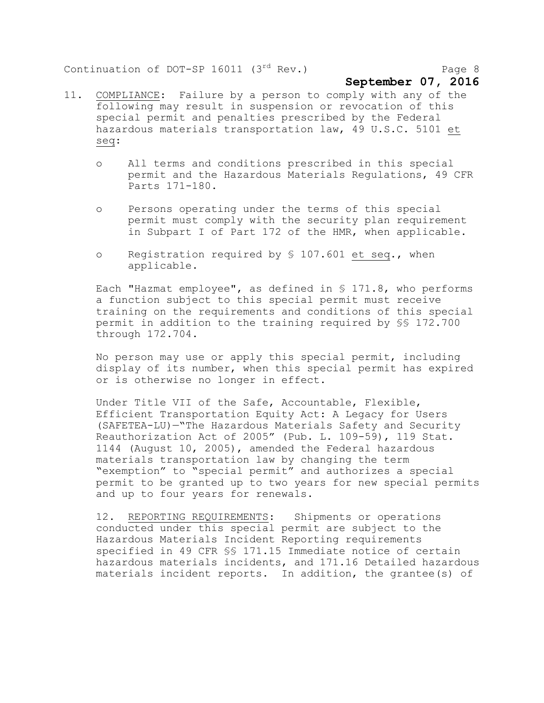#### **September 07, 2016**

- 11. COMPLIANCE: Failure by a person to comply with any of the following may result in suspension or revocation of this special permit and penalties prescribed by the Federal hazardous materials transportation law, 49 U.S.C. 5101 et seq:
	- o All terms and conditions prescribed in this special permit and the Hazardous Materials Regulations, 49 CFR Parts 171-180.
	- o Persons operating under the terms of this special permit must comply with the security plan requirement in Subpart I of Part 172 of the HMR, when applicable.
	- o Registration required by § 107.601 et seq., when applicable.

Each "Hazmat employee", as defined in § 171.8, who performs a function subject to this special permit must receive training on the requirements and conditions of this special permit in addition to the training required by §§ 172.700 through 172.704.

No person may use or apply this special permit, including display of its number, when this special permit has expired or is otherwise no longer in effect.

Under Title VII of the Safe, Accountable, Flexible, Efficient Transportation Equity Act: A Legacy for Users (SAFETEA-LU)—"The Hazardous Materials Safety and Security Reauthorization Act of 2005" (Pub. L. 109-59), 119 Stat. 1144 (August 10, 2005), amended the Federal hazardous materials transportation law by changing the term "exemption" to "special permit" and authorizes a special permit to be granted up to two years for new special permits and up to four years for renewals.

12. REPORTING REQUIREMENTS: Shipments or operations conducted under this special permit are subject to the Hazardous Materials Incident Reporting requirements specified in 49 CFR §§ 171.15 Immediate notice of certain hazardous materials incidents, and 171.16 Detailed hazardous materials incident reports. In addition, the grantee(s) of